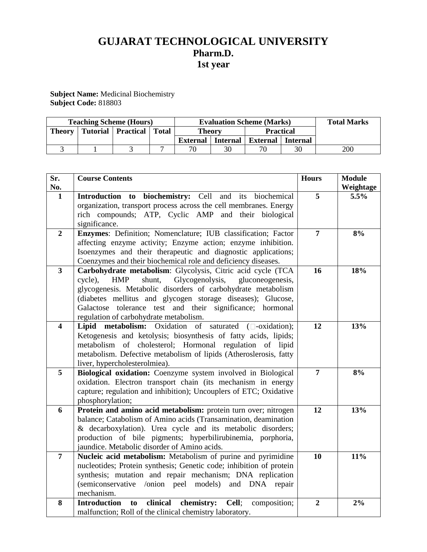# **GUJARAT TECHNOLOGICAL UNIVERSITY Pharm.D. 1st year**

**Subject Name:** Medicinal Biochemistry **Subject Code:** 818803

|        | <b>Teaching Scheme (Hours)</b> |              |                 |    | <b>Evaluation Scheme (Marks)</b> |                 | <b>Total Marks</b> |
|--------|--------------------------------|--------------|-----------------|----|----------------------------------|-----------------|--------------------|
| Theory | <b>Tutorial   Practical  </b>  | <b>Total</b> | <b>Theory</b>   |    | <b>Practical</b>                 |                 |                    |
|        |                                |              | <b>External</b> |    | Internal   External              | <b>Internal</b> |                    |
|        |                                |              | 70              | 30 | 70                               |                 | 200                |

| Sr.<br>No.              | <b>Course Contents</b>                                                                                                                                                                                                                                                                                                                                                      | <b>Hours</b>   | <b>Module</b><br>Weightage |
|-------------------------|-----------------------------------------------------------------------------------------------------------------------------------------------------------------------------------------------------------------------------------------------------------------------------------------------------------------------------------------------------------------------------|----------------|----------------------------|
| 1                       | Introduction to biochemistry: Cell and its biochemical<br>organization, transport process across the cell membranes. Energy<br>rich compounds; ATP, Cyclic AMP and their biological<br>significance.                                                                                                                                                                        | 5              | 5.5%                       |
| $\overline{2}$          | Enzymes: Definition; Nomenclature; IUB classification; Factor<br>affecting enzyme activity; Enzyme action; enzyme inhibition.<br>Isoenzymes and their therapeutic and diagnostic applications;<br>Coenzymes and their biochemical role and deficiency diseases.                                                                                                             | $\overline{7}$ | 8%                         |
| $\mathbf{3}$            | Carbohydrate metabolism: Glycolysis, Citric acid cycle (TCA<br>shunt,<br>Glycogenolysis,<br><b>HMP</b><br>gluconeogenesis,<br>cycle),<br>glycogenesis. Metabolic disorders of carbohydrate metabolism<br>(diabetes mellitus and glycogen storage diseases); Glucose,<br>Galactose tolerance test and their significance; hormonal<br>regulation of carbohydrate metabolism. | 16             | 18%                        |
| $\overline{\mathbf{4}}$ | Lipid metabolism: Oxidation of saturated ( $\square$ -oxidation);<br>Ketogenesis and ketolysis; biosynthesis of fatty acids, lipids;<br>metabolism of cholesterol; Hormonal regulation of lipid<br>metabolism. Defective metabolism of lipids (Atheroslerosis, fatty<br>liver, hypercholesterolmiea).                                                                       | 12             | 13%                        |
| 5                       | Biological oxidation: Coenzyme system involved in Biological<br>oxidation. Electron transport chain (its mechanism in energy<br>capture; regulation and inhibition); Uncouplers of ETC; Oxidative<br>phosphorylation;                                                                                                                                                       | $\overline{7}$ | 8%                         |
| 6                       | Protein and amino acid metabolism: protein turn over; nitrogen<br>balance; Catabolism of Amino acids (Transamination, deamination<br>& decarboxylation). Urea cycle and its metabolic disorders;<br>production of bile pigments; hyperbilirubinemia, porphoria,<br>jaundice. Metabolic disorder of Amino acids.                                                             | 12             | 13%                        |
| $\overline{7}$          | Nucleic acid metabolism: Metabolism of purine and pyrimidine<br>nucleotides; Protein synthesis; Genetic code; inhibition of protein<br>synthesis; mutation and repair mechanism; DNA replication<br>(semiconservative /onion peel models) and DNA repair<br>mechanism.                                                                                                      | 10             | 11%                        |
| 8                       | clinical<br>chemistry: Cell;<br><b>Introduction</b><br>to<br>composition;<br>malfunction; Roll of the clinical chemistry laboratory.                                                                                                                                                                                                                                        | $\overline{2}$ | 2%                         |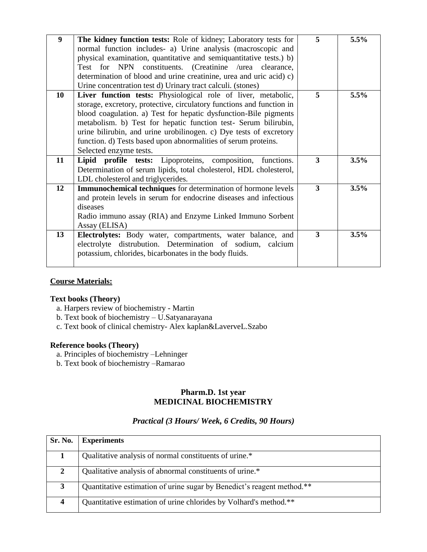| $\boldsymbol{9}$ | The kidney function tests: Role of kidney; Laboratory tests for       | 5                       | 5.5% |
|------------------|-----------------------------------------------------------------------|-------------------------|------|
|                  | normal function includes- a) Urine analysis (macroscopic and          |                         |      |
|                  | physical examination, quantitative and semiquantitative tests.) b)    |                         |      |
|                  | Test for NPN constituents. (Creatinine /urea clearance,               |                         |      |
|                  | determination of blood and urine creatinine, urea and uric acid) c)   |                         |      |
|                  | Urine concentration test d) Urinary tract calculi. (stones)           |                         |      |
| 10               | Liver function tests: Physiological role of liver, metabolic,         | 5                       | 5.5% |
|                  | storage, excretory, protective, circulatory functions and function in |                         |      |
|                  | blood coagulation. a) Test for hepatic dysfunction-Bile pigments      |                         |      |
|                  | metabolism. b) Test for hepatic function test- Serum bilirubin,       |                         |      |
|                  | urine bilirubin, and urine urobilinogen. c) Dye tests of excretory    |                         |      |
|                  | function. d) Tests based upon abnormalities of serum proteins.        |                         |      |
|                  | Selected enzyme tests.                                                |                         |      |
| 11               | Lipid profile tests: Lipoproteins, composition, functions.            | $\overline{\mathbf{3}}$ | 3.5% |
|                  | Determination of serum lipids, total cholesterol, HDL cholesterol,    |                         |      |
|                  | LDL cholesterol and triglycerides.                                    |                         |      |
| 12               | Immunochemical techniques for determination of hormone levels         | 3                       | 3.5% |
|                  | and protein levels in serum for endocrine diseases and infectious     |                         |      |
|                  | diseases                                                              |                         |      |
|                  | Radio immuno assay (RIA) and Enzyme Linked Immuno Sorbent             |                         |      |
|                  | Assay (ELISA)                                                         |                         |      |
| 13               | <b>Electrolytes:</b> Body water, compartments, water balance, and     | 3                       | 3.5% |
|                  | electrolyte distrubution. Determination of sodium, calcium            |                         |      |
|                  | potassium, chlorides, bicarbonates in the body fluids.                |                         |      |
|                  |                                                                       |                         |      |

# **Course Materials:**

#### **Text books (Theory)**

- a. Harpers review of biochemistry Martin
- b. Text book of biochemistry U.Satyanarayana
- c. Text book of clinical chemistry- Alex kaplan&LaverveL.Szabo

#### **Reference books (Theory)**

- a. Principles of biochemistry –Lehninger
- b. Text book of biochemistry –Ramarao

#### **Pharm.D. 1st year MEDICINAL BIOCHEMISTRY**

## *Practical (3 Hours/ Week, 6 Credits, 90 Hours)*

| Sr. No.      | <b>Experiments</b>                                                     |
|--------------|------------------------------------------------------------------------|
|              | Qualitative analysis of normal constituents of urine.*                 |
| $\mathbf{2}$ | Qualitative analysis of abnormal constituents of urine.*               |
| 3            | Quantitative estimation of urine sugar by Benedict's reagent method.** |
| 4            | Quantitative estimation of urine chlorides by Volhard's method.**      |